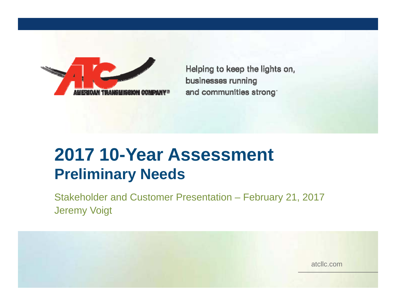

Helping to keep the lights on, businesses running and communities strong

# **2017 10-Year Assessment Preliminary Needs**

Stakeholder and Customer Presentation – February 21, 2017 Jeremy Voigt

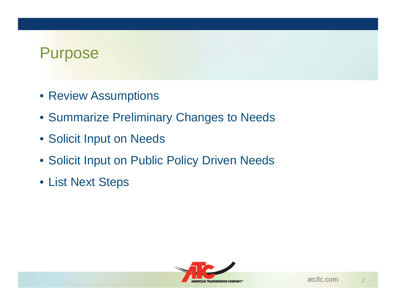### Purpose

- Review Assumptions
- Summarize Preliminary Changes to Needs
- Solicit Input on Needs
- Solicit Input on Public Policy Driven Needs
- List Next Steps

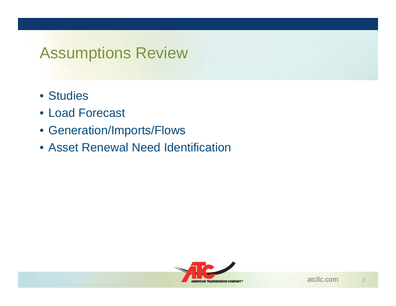### Assumptions Review

- Studies
- Load Forecast
- Generation/Imports/Flows
- Asset Renewal Need Identification

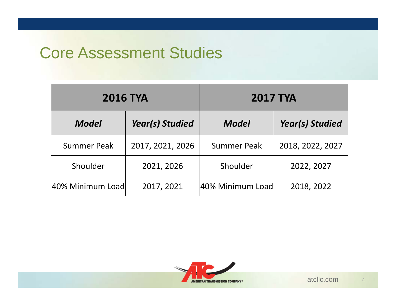### Core Assessment Studies

| <b>2016 TYA</b>    |                        | <b>2017 TYA</b>    |                        |  |  |
|--------------------|------------------------|--------------------|------------------------|--|--|
| <b>Model</b>       | <b>Year(s) Studied</b> | Model              | <b>Year(s) Studied</b> |  |  |
| <b>Summer Peak</b> | 2017, 2021, 2026       | <b>Summer Peak</b> | 2018, 2022, 2027       |  |  |
| Shoulder           | 2021, 2026             | Shoulder           | 2022, 2027             |  |  |
| 40% Minimum Load   | 2017, 2021             | 40% Minimum Load   | 2018, 2022             |  |  |

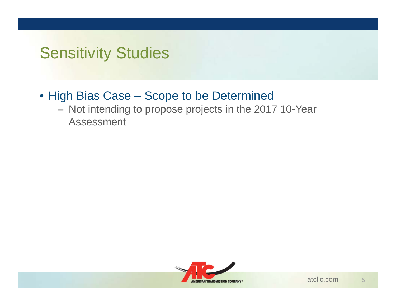# Sensitivity Studies

- High Bias Case Scope to be Determined
	- Not intending to propose projects in the 2017 10-Year Assessment

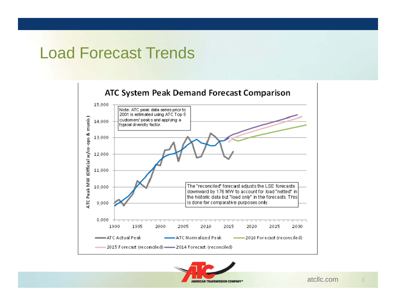### Load Forecast Trends





6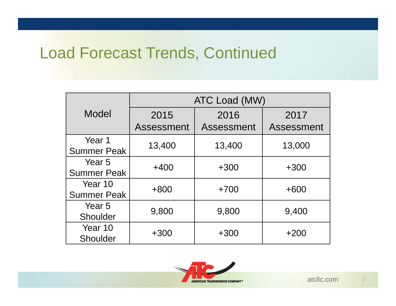# Load Forecast Trends, Continued

|                    | ATC Load (MW) |            |                   |  |  |
|--------------------|---------------|------------|-------------------|--|--|
| Model              | 2015<br>2016  |            | 2017              |  |  |
|                    | Assessment    | Assessment | <b>Assessment</b> |  |  |
| Year 1             | 13,400        | 13,400     | 13,000            |  |  |
| <b>Summer Peak</b> |               |            |                   |  |  |
| Year <sub>5</sub>  | $+400$        | $+300$     | $+300$            |  |  |
| <b>Summer Peak</b> |               |            |                   |  |  |
| Year 10            | $+800$        | $+700$     | $+600$            |  |  |
| <b>Summer Peak</b> |               |            |                   |  |  |
| Year 5             | 9,800         |            | 9,400             |  |  |
| Shoulder           |               | 9,800      |                   |  |  |
| Year 10            | $+300$        | $+300$     | $+200$            |  |  |
| Shoulder           |               |            |                   |  |  |

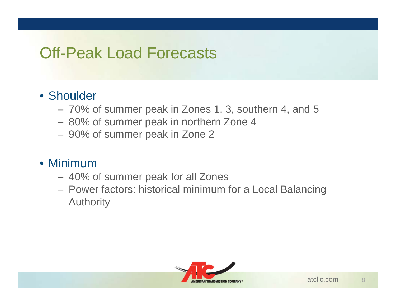# Off-Peak Load Forecasts

#### • Shoulder

- 70% of summer peak in Zones 1, 3, southern 4, and 5
- 80% of summer peak in northern Zone 4
- 90% of summer peak in Zone 2

#### • Minimum

- 40% of summer peak for all Zones
- Power factors: historical minimum for a Local Balancing Authority

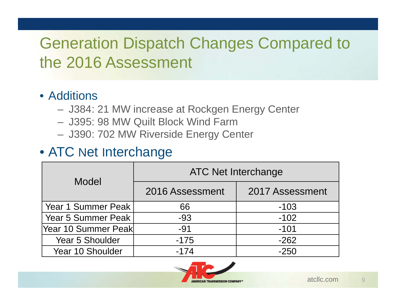# Generation Dispatch Changes Compared to the 2016 Assessment

#### • Additions

- J384: 21 MW increase at Rockgen Energy Center
- J395: 98 MW Quilt Block Wind Farm
- J390: 702 MW Riverside Energy Center

#### • ATC Net Interchange

| Model                  | <b>ATC Net Interchange</b> |                 |  |  |
|------------------------|----------------------------|-----------------|--|--|
|                        | 2016 Assessment            | 2017 Assessment |  |  |
| Year 1 Summer Peak     | 66                         | $-103$          |  |  |
| Year 5 Summer Peak     | $-93$                      | $-102$          |  |  |
| Year 10 Summer Peak    | $-91$                      | $-101$          |  |  |
| <b>Year 5 Shoulder</b> | $-175$                     | $-262$          |  |  |
| Year 10 Shoulder       | $-174$                     | $-250$          |  |  |



 $\overline{9}$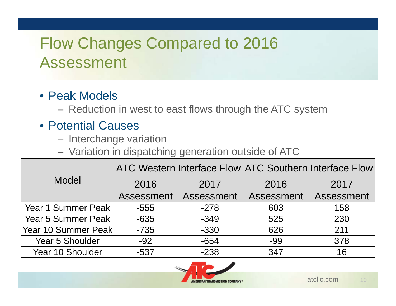# Flow Changes Compared to 2016 Assessment

### • Peak Models

Reduction in west to east flows through the ATC system

### • Potential Causes

- Interchange variation
- Variation in dispatching generation outside of ATC

|                        |                          |        | ATC Western Interface Flow ATC Southern Interface Flow |            |  |  |
|------------------------|--------------------------|--------|--------------------------------------------------------|------------|--|--|
| Model                  |                          |        |                                                        |            |  |  |
|                        | 2016<br>2017             |        | 2016                                                   | 2017       |  |  |
|                        | Assessment<br>Assessment |        | Assessment                                             | Assessment |  |  |
| Year 1 Summer Peak     | $-555$                   | $-278$ | 603                                                    | 158        |  |  |
| Year 5 Summer Peak     | $-635$                   | $-349$ | 525                                                    | 230        |  |  |
| Year 10 Summer Peak    | $-735$                   | $-330$ | 626                                                    | 211        |  |  |
| <b>Year 5 Shoulder</b> | $-92$                    | $-654$ | -99                                                    | 378        |  |  |
| Year 10 Shoulder       | $-537$                   | $-238$ | 347                                                    | 16         |  |  |



10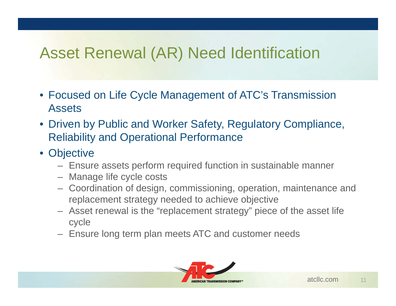# Asset Renewal (AR) Need Identification

- Focused on Life Cycle Management of ATC's Transmission Assets
- Driven by Public and Worker Safety, Regulatory Compliance, Reliability and Operational Performance
- Objective
	- Ensure assets perform required function in sustainable manner
	- Manage life cycle costs
	- Coordination of design, commissioning, operation, maintenance and replacement strategy needed to achieve objective
	- Asset renewal is the "replacement strategy" piece of the asset life cycle
	- Ensure long term plan meets ATC and customer needs

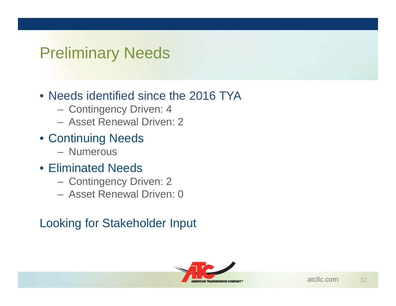## Preliminary Needs

#### • Needs identified since the 2016 TYA

- Contingency Driven: 4
- Asset Renewal Driven: 2
- Continuing Needs
	- Numerous
- Eliminated Needs
	- Contingency Driven: 2
	- Asset Renewal Driven: 0

### Looking for Stakeholder Input

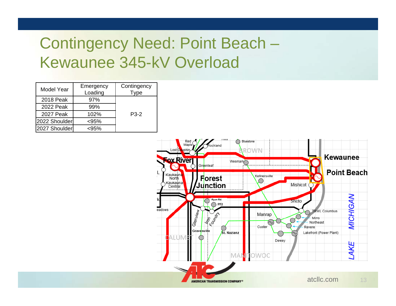# Contingency Need: Point Beach – Kewaunee 345-kV Overload

| <b>Model Year</b> | Emergency<br>Loading | Contingency<br>Type |  |
|-------------------|----------------------|---------------------|--|
| 2018 Peak         | 97%                  |                     |  |
| 2022 Peak         | 99%                  |                     |  |
| 2027 Peak         | 102%                 | $P3-2$              |  |
| 2022 Shoulder     | $95%$                |                     |  |
| 2027 Shoulder     | 95%>                 |                     |  |

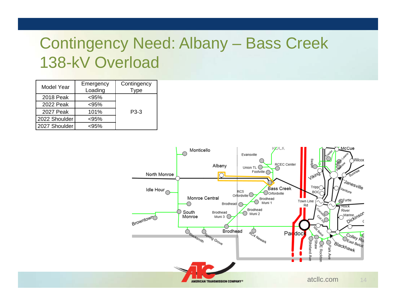# Contingency Need: Albany – Bass Creek 138-kV Overload

| Model Year    | Emergency<br>Loading | Contingency<br>ype <sup>-</sup> |  |  |
|---------------|----------------------|---------------------------------|--|--|
| 2018 Peak     | $< 95\%$             |                                 |  |  |
| 2022 Peak     | $< 95\%$             |                                 |  |  |
| 2027 Peak     | 101%                 | P3-3                            |  |  |
| 2022 Shoulder | $< 95\%$             |                                 |  |  |
| 2027 Shoulder | 95%>                 |                                 |  |  |

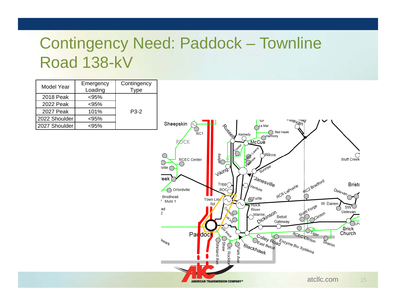# Contingency Need: Paddock – Townline Road 138-kV

| Model Year    | Emergency<br>Loading | Contingency<br>Type |  |
|---------------|----------------------|---------------------|--|
| 2018 Peak     | < 95%                |                     |  |
| 2022 Peak     | $95%$                |                     |  |
| 2027 Peak     | 101%                 | $P3-2$              |  |
| 2022 Shoulder | < 95%                |                     |  |
| 2027 Shoulder | 95%>                 |                     |  |

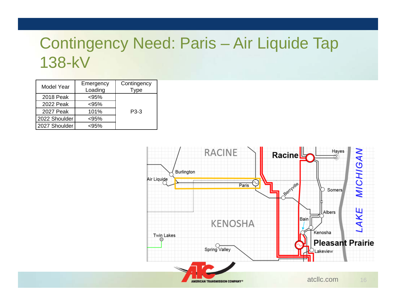## Contingency Need: Paris – Air Liquide Tap 138-kV

| Model Year    | Emergency | Contingency |  |
|---------------|-----------|-------------|--|
|               | Loading   | Type        |  |
| 2018 Peak     | < 95%     |             |  |
| 2022 Peak     | $< 95\%$  |             |  |
| 2027 Peak     | 101%      | P3-3        |  |
| 2022 Shoulder | < 95%     |             |  |
| 2027 Shoulder | 95%>      |             |  |

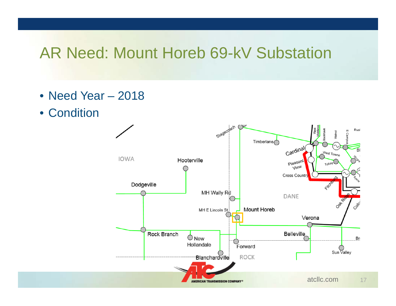### AR Need: Mount Horeb 69-kV Substation

- Need Year 2018
- Condition

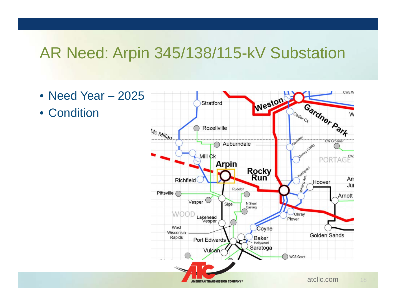### AR Need: Arpin 345/138/115-kV Substation

- Need Year 2025
- Condition

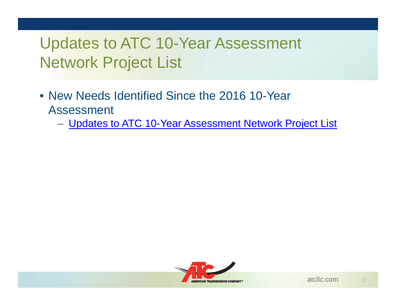# Updates to ATC 10-Year Assessment Network Project List

- New Needs Identified Since the 2016 10-Year Assessment
	- <u>[Updates to ATC 10-Year Assessment Network Project List](http://www.atc10yearplan.com/wp-content/uploads/2017/01/2016-TYA-Project-Table_1-23-2017_Updates_R1.pdf)</u>

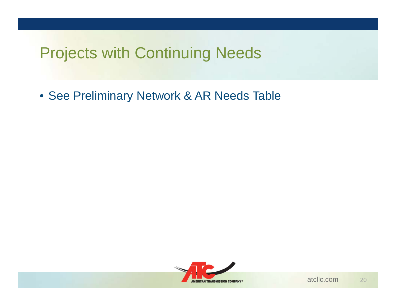# Projects with Continuing Needs

• See Preliminary Network & AR Needs Table

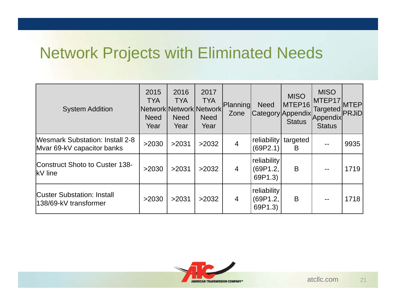## Network Projects with Eliminated Needs

| <b>System Addition</b>                                               | 2015<br><b>TYA</b><br><b>Need</b><br>Year | 2016<br><b>TYA</b><br>Network Network Network<br><b>Need</b><br>Year | 2017<br><b>TYA</b><br><b>Need</b><br>Year | Planning<br>Zone | <b>Need</b>                        | <b>MISO</b><br>MTEP16<br> Category Appendix <br><b>Status</b> | <b>MISO</b><br>MTEP17<br>Targeted <sup>"</sup> PRJiD <sup>I</sup><br>Appendix<br><b>Status</b> | <b>MTEP</b> |
|----------------------------------------------------------------------|-------------------------------------------|----------------------------------------------------------------------|-------------------------------------------|------------------|------------------------------------|---------------------------------------------------------------|------------------------------------------------------------------------------------------------|-------------|
| <b>Wesmark Substation: Install 2-8</b><br>Myar 69-kV capacitor banks | >2030                                     | >2031                                                                | >2032                                     | $\overline{4}$   | reliability<br>(69P2.1)            | targeted<br>B                                                 |                                                                                                | 9935        |
| Construct Shoto to Custer 138-<br>$\mathsf{KV}$ line                 | >2030                                     | >2031                                                                | >2032                                     | $\overline{4}$   | reliability<br>(69P1.2,<br>69P1.3) | B                                                             |                                                                                                | 1719        |
| <b>Custer Substation: Install</b><br>138/69-kV transformer           | >2030                                     | >2031                                                                | >2032                                     | $\overline{4}$   | reliability<br>(69P1.2,<br>69P1.3) | B                                                             |                                                                                                | 1718        |

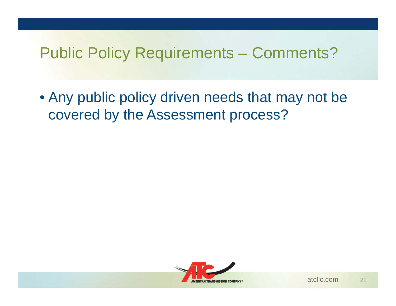### Public Policy Requirements – Comments?

• Any public policy driven needs that may not be covered by the Assessment process?

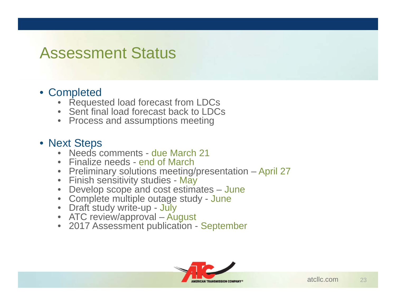### Assessment Status

#### • Completed

- •Requested load forecast from LDCs
- •Sent final load forecast back to LDCs
- Process and assumptions meeting

#### • Next Steps

- •Needs comments - due March 21
- •Finalize needs - end of March
- Preliminary solutions meeting/presentation April 27
- Finish sensitivity studies May
- •Develop scope and cost estimates – June
- Complete multiple outage study June
- Draft study write-up July
- ATC review/approval August
- 2017 Assessment publication September